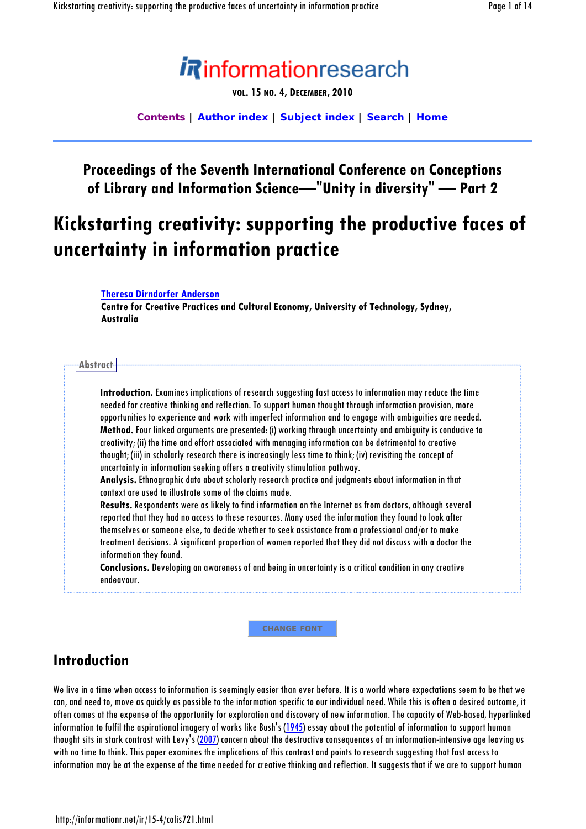

**VOL. 15 NO. 4, DECEMBER, 2010**

**Contents | Author index | Subject index | Search | Home**

#### **Proceedings of the Seventh International Conference on Conceptions of Library and Information Science—"Unity in diversity" — Part 2**

# **Kickstarting creativity: supporting the productive faces of uncertainty in information practice**

**Theresa Dirndorfer Anderson**

**Centre for Creative Practices and Cultural Economy, University of Technology, Sydney, Australia** 

#### **Abstract**

**Introduction.** Examines implications of research suggesting fast access to information may reduce the time needed for creative thinking and reflection. To support human thought through information provision, more opportunities to experience and work with imperfect information and to engage with ambiguities are needed. **Method.** Four linked arguments are presented: (i) working through uncertainty and ambiguity is conducive to creativity; (ii) the time and effort associated with managing information can be detrimental to creative thought; (iii) in scholarly research there is increasingly less time to think; (iv) revisiting the concept of uncertainty in information seeking offers a creativity stimulation pathway.

**Analysis.** Ethnographic data about scholarly research practice and judgments about information in that context are used to illustrate some of the claims made.

**Results.** Respondents were as likely to find information on the Internet as from doctors, although several reported that they had no access to these resources. Many used the information they found to look after themselves or someone else, to decide whether to seek assistance from a professional and/or to make treatment decisions. A significant proportion of women reported that they did not discuss with a doctor the information they found.

**Conclusions.** Developing an awareness of and being in uncertainty is a critical condition in any creative endeavour.

**CHANGE FONT**

#### **Introduction**

We live in a time when access to information is seemingly easier than ever before. It is a world where expectations seem to be that we can, and need to, move as quickly as possible to the information specific to our individual need. While this is often a desired outcome, it often comes at the expense of the opportunity for exploration and discovery of new information. The capacity of Web-based, hyperlinked information to fulfil the aspirational imagery of works like Bush's (1945) essay about the potential of information to support human thought sits in stark contrast with Levy's (2007) concern about the destructive consequences of an information-intensive age leaving us with no time to think. This paper examines the implications of this contrast and points to research suggesting that fast access to information may be at the expense of the time needed for creative thinking and reflection. It suggests that if we are to support human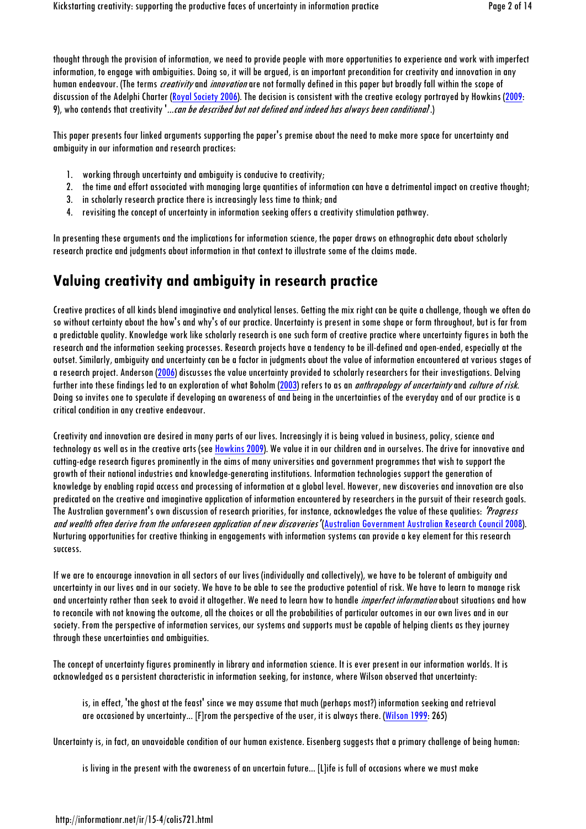thought through the provision of information, we need to provide people with more opportunities to experience and work with imperfect information, to engage with ambiguities. Doing so, it will be argued, is an important precondition for creativity and innovation in any human endeavour. (The terms *creativity* and *innovation* are not formally defined in this paper but broadly fall within the scope of discussion of the Adelphi Charter (Royal Society 2006). The decision is consistent with the creative ecology portrayed by Howkins (2009: 9), who contends that creativity '...can be described but not defined and indeed has always been conditional'.)

This paper presents four linked arguments supporting the paper's premise about the need to make more space for uncertainty and ambiguity in our information and research practices:

- 1. working through uncertainty and ambiguity is conducive to creativity;
- 2. the time and effort associated with managing large quantities of information can have a detrimental impact on creative thought;
- 3. in scholarly research practice there is increasingly less time to think; and
- 4. revisiting the concept of uncertainty in information seeking offers a creativity stimulation pathway.

In presenting these arguments and the implications for information science, the paper draws on ethnographic data about scholarly research practice and judgments about information in that context to illustrate some of the claims made.

### **Valuing creativity and ambiguity in research practice**

Creative practices of all kinds blend imaginative and analytical lenses. Getting the mix right can be quite a challenge, though we often do so without certainty about the how's and why's of our practice. Uncertainty is present in some shape or form throughout, but is far from a predictable quality. Knowledge work like scholarly research is one such form of creative practice where uncertainty figures in both the research and the information seeking processes. Research projects have a tendency to be ill-defined and open-ended, especially at the outset. Similarly, ambiguity and uncertainty can be a factor in judgments about the value of information encountered at various stages of a research project. Anderson (2006) discusses the value uncertainty provided to scholarly researchers for their investigations. Delving further into these findings led to an exploration of what Boholm (2003) refers to as an *anthropology of uncertainty* and *culture of risk.* Doing so invites one to speculate if developing an awareness of and being in the uncertainties of the everyday and of our practice is a critical condition in any creative endeavour.

Creativity and innovation are desired in many parts of our lives. Increasingly it is being valued in business, policy, science and technology as well as in the creative arts (see Howkins 2009). We value it in our children and in ourselves. The drive for innovative and cutting-edge research figures prominently in the aims of many universities and government programmes that wish to support the growth of their national industries and knowledge-generating institutions. Information technologies support the generation of knowledge by enabling rapid access and processing of information at a global level. However, new discoveries and innovation are also predicated on the creative and imaginative application of information encountered by researchers in the pursuit of their research goals. The Australian government's own discussion of research priorities, for instance, acknowledges the value of these qualities: 'Progress' and wealth often derive from the unforeseen application of new discoveries' (Australian Government Australian Research Council 2008). Nurturing opportunities for creative thinking in engagements with information systems can provide a key element for this research success.

If we are to encourage innovation in all sectors of our lives (individually and collectively), we have to be tolerant of ambiguity and uncertainty in our lives and in our society. We have to be able to see the productive potential of risk. We have to learn to manage risk and uncertainty rather than seek to avoid it altogether. We need to learn how to handle *imperfect information* about situations and how to reconcile with not knowing the outcome, all the choices or all the probabilities of particular outcomes in our own lives and in our society. From the perspective of information services, our systems and supports must be capable of helping clients as they journey through these uncertainties and ambiguities.

The concept of uncertainty figures prominently in library and information science. It is ever present in our information worlds. It is acknowledged as a persistent characteristic in information seeking, for instance, where Wilson observed that uncertainty:

is, in effect, 'the ghost at the feast' since we may assume that much (perhaps most?) information seeking and retrieval are occasioned by uncertainty... [F]rom the perspective of the user, it is always there. (Wilson 1999: 265)

Uncertainty is, in fact, an unavoidable condition of our human existence. Eisenberg suggests that a primary challenge of being human:

is living in the present with the awareness of an uncertain future... [L]ife is full of occasions where we must make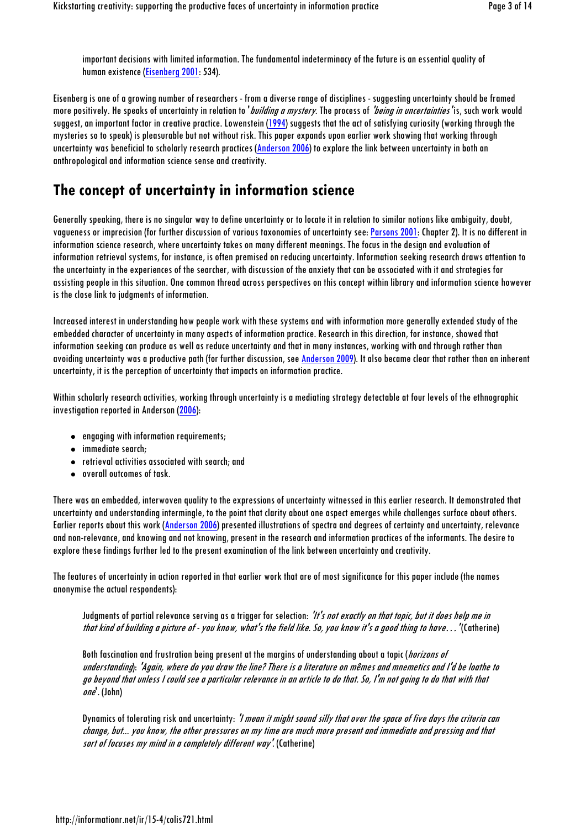important decisions with limited information. The fundamental indeterminacy of the future is an essential quality of human existence (Eisenberg 2001: 534).

Eisenberg is one of a growing number of researchers - from a diverse range of disciplines - suggesting uncertainty should be framed more positively. He speaks of uncertainty in relation to 'building a mystery. The process of 'being in uncertainties' is, such work would suggest, an important factor in creative practice. Lowenstein (1994) suggests that the act of satisfying curiosity (working through the mysteries so to speak) is pleasurable but not without risk. This paper expands upon earlier work showing that working through uncertainty was beneficial to scholarly research practices (Anderson 2006) to explore the link between uncertainty in both an anthropological and information science sense and creativity.

#### **The concept of uncertainty in information science**

Generally speaking, there is no singular way to define uncertainty or to locate it in relation to similar notions like ambiguity, doubt, vagueness or imprecision (for further discussion of various taxonomies of uncertainty see: Parsons 2001: Chapter 2). It is no different in information science research, where uncertainty takes on many different meanings. The focus in the design and evaluation of information retrieval systems, for instance, is often premised on reducing uncertainty. Information seeking research draws attention to the uncertainty in the experiences of the searcher, with discussion of the anxiety that can be associated with it and strategies for assisting people in this situation. One common thread across perspectives on this concept within library and information science however is the close link to judgments of information.

Increased interest in understanding how people work with these systems and with information more generally extended study of the embedded character of uncertainty in many aspects of information practice. Research in this direction, for instance, showed that information seeking can produce as well as reduce uncertainty and that in many instances, working with and through rather than avoiding uncertainty was a productive path (for further discussion, see Anderson 2009). It also became clear that rather than an inherent uncertainty, it is the perception of uncertainty that impacts on information practice.

Within scholarly research activities, working through uncertainty is a mediating strategy detectable at four levels of the ethnographic investigation reported in Anderson (2006):

- engaging with information requirements;
- immediate search:
- retrieval activities associated with search; and
- overall outcomes of task.

There was an embedded, interwoven quality to the expressions of uncertainty witnessed in this earlier research. It demonstrated that uncertainty and understanding intermingle, to the point that clarity about one aspect emerges while challenges surface about others. Earlier reports about this work (Anderson 2006) presented illustrations of spectra and degrees of certainty and uncertainty, relevance and non-relevance, and knowing and not knowing, present in the research and information practices of the informants. The desire to explore these findings further led to the present examination of the link between uncertainty and creativity.

The features of uncertainty in action reported in that earlier work that are of most significance for this paper include (the names anonymise the actual respondents):

Judgments of partial relevance serving as a trigger for selection: 'It's not exactly on that topic, but it does help me in that kind of building a picture of - you know, what's the field like. So, you know it's a good thing to have…' (Catherine)

Both fascination and frustration being present at the margins of understanding about a topic (*horizons of* understanding): 'Again, where do you draw the line? There is a literature on mêmes and mnemetics and I'd be loathe to go beyond that unless I could see a particular relevance in an article to do that. So, I'm not going to do that with that one'. (John)

Dynamics of tolerating risk and uncertainty: *'I mean it might sound silly that over the space of five days the criteria can* change, but... you know, the other pressures on my time are much more present and immediate and pressing and that sort of focuses my mind in a completely different way'. (Catherine)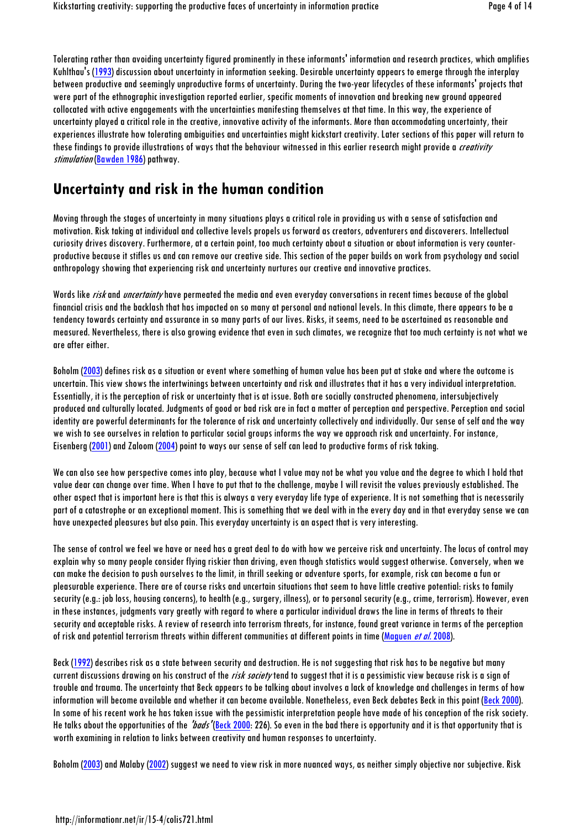Tolerating rather than avoiding uncertainty figured prominently in these informants' information and research practices, which amplifies Kuhlthau's (1993) discussion about uncertainty in information seeking. Desirable uncertainty appears to emerge through the interplay between productive and seemingly unproductive forms of uncertainty. During the two-year lifecycles of these informants' projects that were part of the ethnographic investigation reported earlier, specific moments of innovation and breaking new ground appeared collocated with active engagements with the uncertainties manifesting themselves at that time. In this way, the experience of uncertainty played a critical role in the creative, innovative activity of the informants. More than accommodating uncertainty, their experiences illustrate how tolerating ambiguities and uncertainties might kickstart creativity. Later sections of this paper will return to these findings to provide illustrations of ways that the behaviour witnessed in this earlier research might provide a *creativity* stimulation (Bawden 1986) pathway.

#### **Uncertainty and risk in the human condition**

Moving through the stages of uncertainty in many situations plays a critical role in providing us with a sense of satisfaction and motivation. Risk taking at individual and collective levels propels us forward as creators, adventurers and discoverers. Intellectual curiosity drives discovery. Furthermore, at a certain point, too much certainty about a situation or about information is very counterproductive because it stifles us and can remove our creative side. This section of the paper builds on work from psychology and social anthropology showing that experiencing risk and uncertainty nurtures our creative and innovative practices.

Words like risk and uncertainty have permeated the media and even everyday conversations in recent times because of the global financial crisis and the backlash that has impacted on so many at personal and national levels. In this climate, there appears to be a tendency towards certainty and assurance in so many parts of our lives. Risks, it seems, need to be ascertained as reasonable and measured. Nevertheless, there is also growing evidence that even in such climates, we recognize that too much certainty is not what we are after either.

Boholm (2003) defines risk as a situation or event where something of human value has been put at stake and where the outcome is uncertain. This view shows the intertwinings between uncertainty and risk and illustrates that it has a very individual interpretation. Essentially, it is the perception of risk or uncertainty that is at issue. Both are socially constructed phenomena, intersubjectively produced and culturally located. Judgments of good or bad risk are in fact a matter of perception and perspective. Perception and social identity are powerful determinants for the tolerance of risk and uncertainty collectively and individually. Our sense of self and the way we wish to see ourselves in relation to particular social groups informs the way we approach risk and uncertainty. For instance, Eisenberg (2001) and Zaloom (2004) point to ways our sense of self can lead to productive forms of risk taking.

We can also see how perspective comes into play, because what I value may not be what you value and the degree to which I hold that value dear can change over time. When I have to put that to the challenge, maybe I will revisit the values previously established. The other aspect that is important here is that this is always a very everyday life type of experience. It is not something that is necessarily part of a catastrophe or an exceptional moment. This is something that we deal with in the every day and in that everyday sense we can have unexpected pleasures but also pain. This everyday uncertainty is an aspect that is very interesting.

The sense of control we feel we have or need has a great deal to do with how we perceive risk and uncertainty. The locus of control may explain why so many people consider flying riskier than driving, even though statistics would suggest otherwise. Conversely, when we can make the decision to push ourselves to the limit, in thrill seeking or adventure sports, for example, risk can become a fun or pleasurable experience. There are of course risks and uncertain situations that seem to have little creative potential: risks to family security (e.g.: job loss, housing concerns), to health (e.g., surgery, illness), or to personal security (e.g., crime, terrorism). However, even in these instances, judgments vary greatly with regard to where a particular individual draws the line in terms of threats to their security and acceptable risks. A review of research into terrorism threats, for instance, found great variance in terms of the perception of risk and potential terrorism threats within different communities at different points in time (Maguen *et al.* 2008).

Beck (1992) describes risk as a state between security and destruction. He is not suggesting that risk has to be negative but many current discussions drawing on his construct of the risk society tend to suggest that it is a pessimistic view because risk is a sign of trouble and trauma. The uncertainty that Beck appears to be talking about involves a lack of knowledge and challenges in terms of how information will become available and whether it can become available. Nonetheless, even Beck debates Beck in this point (Beck 2000). In some of his recent work he has taken issue with the pessimistic interpretation people have made of his conception of the risk society. He talks about the opportunities of the "bads" (Beck 2000: 226). So even in the bad there is opportunity and it is that opportunity that is worth examining in relation to links between creativity and human responses to uncertainty.

Boholm (2003) and Malaby (2002) suggest we need to view risk in more nuanced ways, as neither simply objective nor subjective. Risk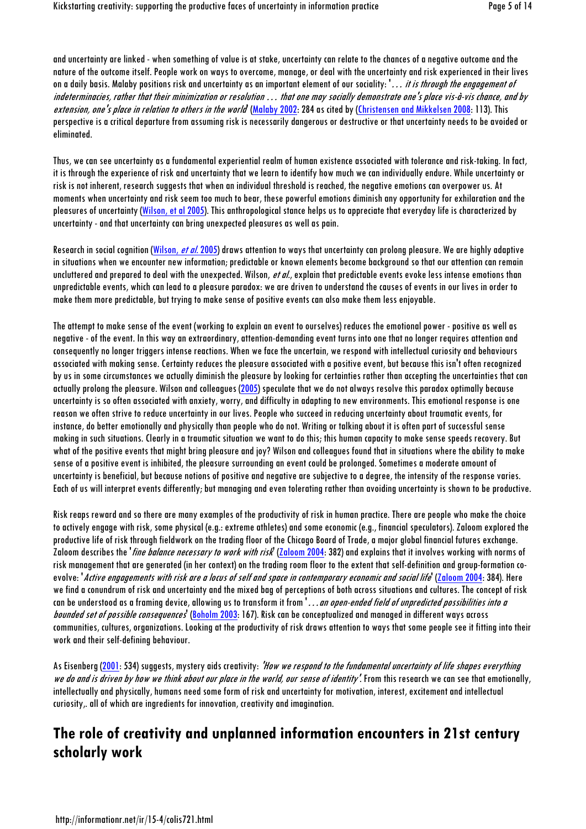and uncertainty are linked - when something of value is at stake, uncertainty can relate to the chances of a negative outcome and the nature of the outcome itself. People work on ways to overcome, manage, or deal with the uncertainty and risk experienced in their lives on a daily basis. Malaby positions risk and uncertainty as an important element of our sociality: '... it is through the engagement of indeterminacies, rather that their minimization or resolution … that one may socially demonstrate one's place vis-à-vis chance, and by extension, one's place in relation to others in the world (Malaby 2002: 284 as cited by (Christensen and Mikkelsen 2008: 113). This perspective is a critical departure from assuming risk is necessarily dangerous or destructive or that uncertainty needs to be avoided or eliminated.

Thus, we can see uncertainty as a fundamental experiential realm of human existence associated with tolerance and risk-taking. In fact, it is through the experience of risk and uncertainty that we learn to identify how much we can individually endure. While uncertainty or risk is not inherent, research suggests that when an individual threshold is reached, the negative emotions can overpower us. At moments when uncertainty and risk seem too much to bear, these powerful emotions diminish any opportunity for exhilaration and the pleasures of uncertainty (Wilson, et al 2005). This anthropological stance helps us to appreciate that everyday life is characterized by uncertainty - and that uncertainty can bring unexpected pleasures as well as pain.

Research in social cognition (Wilson, et al. 2005) draws attention to ways that uncertainty can prolong pleasure. We are highly adaptive in situations when we encounter new information; predictable or known elements become background so that our attention can remain uncluttered and prepared to deal with the unexpected. Wilson, et al., explain that predictable events evoke less intense emotions than unpredictable events, which can lead to a pleasure paradox: we are driven to understand the causes of events in our lives in order to make them more predictable, but trying to make sense of positive events can also make them less enjoyable.

The attempt to make sense of the event (working to explain an event to ourselves) reduces the emotional power - positive as well as negative - of the event. In this way an extraordinary, attention-demanding event turns into one that no longer requires attention and consequently no longer triggers intense reactions. When we face the uncertain, we respond with intellectual curiosity and behaviours associated with making sense. Certainty reduces the pleasure associated with a positive event, but because this isn't often recognized by us in some circumstances we actually diminish the pleasure by looking for certainties rather than accepting the uncertainties that can actually prolong the pleasure. Wilson and colleagues (2005) speculate that we do not always resolve this paradox optimally because uncertainty is so often associated with anxiety, worry, and difficulty in adapting to new environments. This emotional response is one reason we often strive to reduce uncertainty in our lives. People who succeed in reducing uncertainty about traumatic events, for instance, do better emotionally and physically than people who do not. Writing or talking about it is often part of successful sense making in such situations. Clearly in a traumatic situation we want to do this; this human capacity to make sense speeds recovery. But what of the positive events that might bring pleasure and joy? Wilson and colleagues found that in situations where the ability to make sense of a positive event is inhibited, the pleasure surrounding an event could be prolonged. Sometimes a moderate amount of uncertainty is beneficial, but because notions of positive and negative are subjective to a degree, the intensity of the response varies. Each of us will interpret events differently; but managing and even tolerating rather than avoiding uncertainty is shown to be productive.

Risk reaps reward and so there are many examples of the productivity of risk in human practice. There are people who make the choice to actively engage with risk, some physical (e.g.: extreme athletes) and some economic (e.g., financial speculators). Zaloom explored the productive life of risk through fieldwork on the trading floor of the Chicago Board of Trade, a major global financial futures exchange. Zaloom describes the '*fine balance necessary to work with risk* (Zaloom 2004: 382) and explains that it involves working with norms of risk management that are generated (in her context) on the trading room floor to the extent that self-definition and group-formation coevolve: *'Active engagements with risk are a locus of self and space in contemporary economic and social life* (Zaloom 2004: 384). Here we find a conundrum of risk and uncertainty and the mixed bag of perceptions of both across situations and cultures. The concept of risk can be understood as a framing device, allowing us to transform it from '...an open-ended field of unpredicted possibilities into a bounded set of possible consequences' (Boholm 2003: 167). Risk can be conceptualized and managed in different ways across communities, cultures, organizations. Looking at the productivity of risk draws attention to ways that some people see it fitting into their work and their self-defining behaviour.

As Eisenberg (2001: 534) suggests, mystery gids creativity: 'How we respond to the fundamental uncertainty of life shapes everything we do and is driven by how we think about our place in the world, our sense of identity'. From this research we can see that emotionally, intellectually and physically, humans need some form of risk and uncertainty for motivation, interest, excitement and intellectual curiosity,. all of which are ingredients for innovation, creativity and imagination.

#### **The role of creativity and unplanned information encounters in 21st century scholarly work**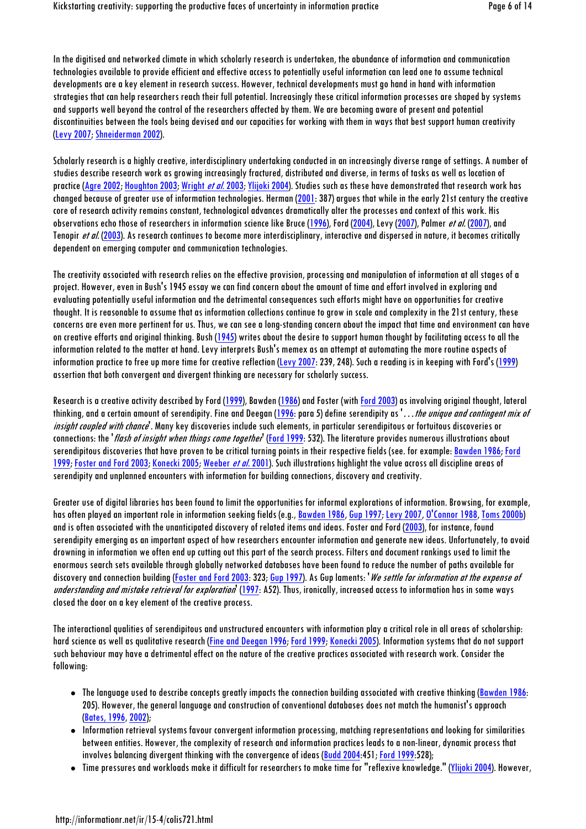In the digitised and networked climate in which scholarly research is undertaken, the abundance of information and communication technologies available to provide efficient and effective access to potentially useful information can lead one to assume technical developments are a key element in research success. However, technical developments must go hand in hand with information strategies that can help researchers reach their full potential. Increasingly these critical information processes are shaped by systems and supports well beyond the control of the researchers affected by them. We are becoming aware of present and potential discontinuities between the tools being devised and our capacities for working with them in ways that best support human creativity (Levy 2007; Shneiderman 2002).

Scholarly research is a highly creative, interdisciplinary undertaking conducted in an increasingly diverse range of settings. A number of studies describe research work as growing increasingly fractured, distributed and diverse, in terms of tasks as well as location of practice (Agre 2002; Houghton 2003; Wright *et al.* 2003; Ylijoki 2004). Studies such as these have demonstrated that research work has changed because of greater use of information technologies. Herman (2001: 387) argues that while in the early 21st century the creative core of research activity remains constant, technological advances dramatically alter the processes and context of this work. His observations echo those of researchers in information science like Bruce (1996), Ford (2004), Levy (2007), Palmer *et al.* (2007), and Tenopir et al. (2003). As research continues to become more interdisciplinary, interactive and dispersed in nature, it becomes critically dependent on emerging computer and communication technologies.

The creativity associated with research relies on the effective provision, processing and manipulation of information at all stages of a project. However, even in Bush's 1945 essay we can find concern about the amount of time and effort involved in exploring and evaluating potentially useful information and the detrimental consequences such efforts might have on opportunities for creative thought. It is reasonable to assume that as information collections continue to grow in scale and complexity in the 21st century, these concerns are even more pertinent for us. Thus, we can see a long-standing concern about the impact that time and environment can have on creative efforts and original thinking. Bush (1945) writes about the desire to support human thought by facilitating access to all the information related to the matter at hand. Levy interprets Bush's memex as an attempt at automating the more routine aspects of information practice to free up more time for creative reflection (Levy 2007: 239, 248). Such a reading is in keeping with Ford's (1999) assertion that both convergent and divergent thinking are necessary for scholarly success.

Research is a creative activity described by Ford (1999), Bawden (1986) and Foster (with Ford 2003) as involving original thought, lateral thinking, and a certain amount of serendipity. Fine and Deegan (1996: para 5) define serendipity as '...the unique and contingent mix of insight coupled with chance'. Many key discoveries include such elements, in particular serendipitous or fortuitous discoveries or connections: the *'flash of insight when things come together'* (Ford 1999: 532). The literature provides numerous illustrations about serendipitous discoveries that have proven to be critical turning points in their respective fields (see. for example: Bawden 1986; Ford 1999; Foster and Ford 2003; Konecki 2005; Weeber *et al.* 2001). Such illustrations highlight the value across all discipline areas of serendipity and unplanned encounters with information for building connections, discovery and creativity.

Greater use of digital libraries has been found to limit the opportunities for informal explorations of information. Browsing, for example, has often played an important role in information seeking fields (e.g., Bawden 1986, Gup 1997; Levy 2007, O'Connor 1988, Toms 2000b) and is often associated with the unanticipated discovery of related items and ideas. Foster and Ford (2003), for instance, found serendipity emerging as an important aspect of how researchers encounter information and generate new ideas. Unfortunately, to avoid drowning in information we often end up cutting out this part of the search process. Filters and document rankings used to limit the enormous search sets available through globally networked databases have been found to reduce the number of paths available for discovery and connection building (Foster and Ford 2003: 323; Gup 1997). As Gup laments: *'We settle for information at the expense of* understanding and mistake retrieval for exploration<sup>t</sup> (1997: A52). Thus, ironically, increased access to information has in some ways closed the door on a key element of the creative process.

The interactional qualities of serendipitous and unstructured encounters with information play a critical role in all areas of scholarship: hard science as well as qualitative research (Fine and Deegan 1996; Ford 1999; Konecki 2005). Information systems that do not support such behaviour may have a detrimental effect on the nature of the creative practices associated with research work. Consider the following:

- The language used to describe concepts greatly impacts the connection building associated with creative thinking (Bawden 1986: 205). However, the general language and construction of conventional databases does not match the humanist's approach (Bates, 1996, 2002);
- Information retrieval systems favour convergent information processing, matching representations and looking for similarities between entities. However, the complexity of research and information practices leads to a non-linear, dynamic process that involves balancing divergent thinking with the convergence of ideas (Budd 2004:451; Ford 1999:528);
- Time pressures and workloads make it difficult for researchers to make time for "reflexive knowledge." (Ylijoki 2004). However,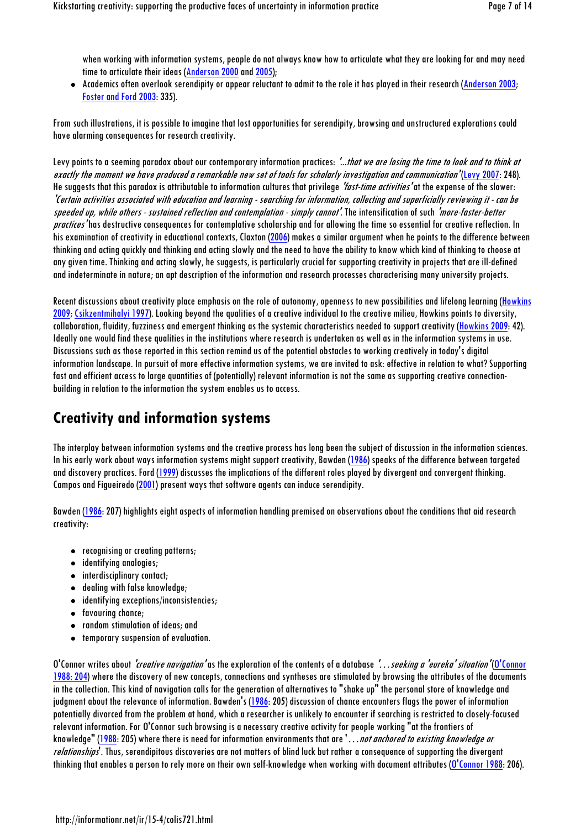when working with information systems, people do not always know how to articulate what they are looking for and may need time to articulate their ideas (Anderson 2000 and 2005);

 Academics often overlook serendipity or appear reluctant to admit to the role it has played in their research (Anderson 2003; Foster and Ford 2003: 335).

From such illustrations, it is possible to imagine that lost opportunities for serendipity, browsing and unstructured explorations could have alarming consequences for research creativity.

Levy points to a seeming paradox about our contemporary information practices: "...that we are losing the time to look and to think at exactly the moment we have produced a remarkable new set of tools for scholarly investigation and communication' (Levy 2007: 248). He suggests that this paradox is attributable to information cultures that privilege *'fast-time activities'* at the expense of the slower: 'Certain activities associated with education and learning - searching for information, collecting and superficially reviewing it - can be speeded up, while others - sustained reflection and contemplation - simply cannot'. The intensification of such 'more-faster-better practices' has destructive consequences for contemplative scholarship and for allowing the time so essential for creative reflection. In his examination of creativity in educational contexts, Claxton (2006) makes a similar argument when he points to the difference between thinking and acting quickly and thinking and acting slowly and the need to have the ability to know which kind of thinking to choose at any given time. Thinking and acting slowly, he suggests, is particularly crucial for supporting creativity in projects that are ill-defined and indeterminate in nature; an apt description of the information and research processes characterising many university projects.

Recent discussions about creativity place emphasis on the role of autonomy, openness to new possibilities and lifelong learning (Howkins 2009; Csikzentmihalyi 1997). Looking beyond the qualities of a creative individual to the creative milieu, Howkins points to diversity, collaboration, fluidity, fuzziness and emergent thinking as the systemic characteristics needed to support creativity (Howkins 2009: 42). Ideally one would find these qualities in the institutions where research is undertaken as well as in the information systems in use. Discussions such as those reported in this section remind us of the potential obstacles to working creatively in today's digital information landscape. In pursuit of more effective information systems, we are invited to ask: effective in relation to what? Supporting fast and efficient access to large quantities of (potentially) relevant information is not the same as supporting creative connectionbuilding in relation to the information the system enables us to access.

#### **Creativity and information systems**

The interplay between information systems and the creative process has long been the subject of discussion in the information sciences. In his early work about ways information systems might support creativity, Bawden (1986) speaks of the difference between targeted and discovery practices. Ford (1999) discusses the implications of the different roles played by divergent and convergent thinking. Campos and Figueiredo (2001) present ways that software agents can induce serendipity.

Bawden (1986: 207) highlights eight aspects of information handling premised on observations about the conditions that aid research creativity:

- recognising or creating patterns;
- identifying analogies;
- interdisciplinary contact;
- dealing with false knowledge;
- identifying exceptions/inconsistencies;
- favouring chance;
- random stimulation of ideas; and
- temporary suspension of evaluation.

O'Connor writes about *'creative navigation'* as the exploration of the contents of a database '...seeking a 'eureka' situation'(O'Connor 1988: 204) where the discovery of new concepts, connections and syntheses are stimulated by browsing the attributes of the documents in the collection. This kind of navigation calls for the generation of alternatives to "shake up" the personal store of knowledge and judgment about the relevance of information. Bawden's (1986: 205) discussion of chance encounters flags the power of information potentially divorced from the problem at hand, which a researcher is unlikely to encounter if searching is restricted to closely-focused relevant information. For O'Connor such browsing is a necessary creative activity for people working "at the frontiers of knowledge" (1988: 205) where there is need for information environments that are '...not anchored to existing knowledge or relationships<sup>t</sup>. Thus, serendipitous discoveries are not matters of blind luck but rather a consequence of supporting the divergent thinking that enables a person to rely more on their own self-knowledge when working with document attributes (O'Connor 1988: 206).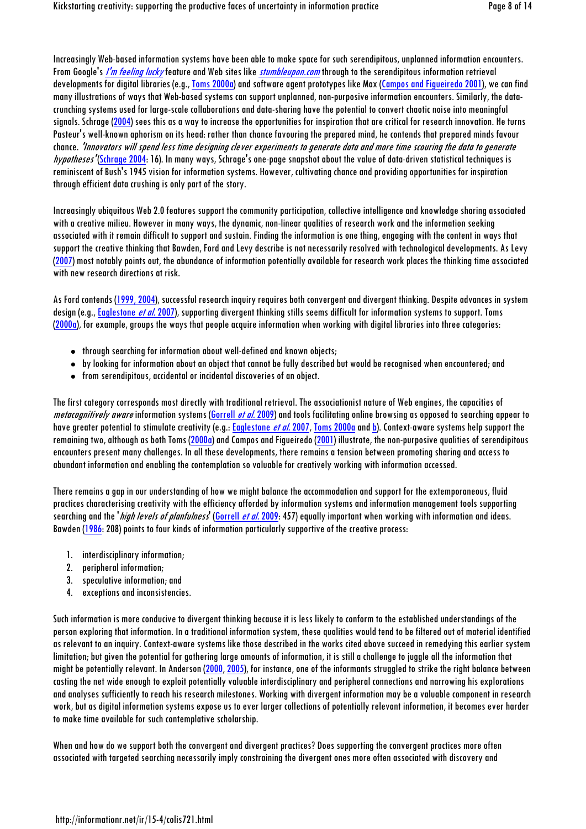Increasingly Web-based information systems have been able to make space for such serendipitous, unplanned information encounters. From Google's *I'm feeling lucky* feature and Web sites like *stumbleupon.com* through to the serendipitous information retrieval developments for digital libraries (e.g., Toms 2000a) and software agent prototypes like Max (Campos and Figueiredo 2001), we can find many illustrations of ways that Web-based systems can support unplanned, non-purposive information encounters. Similarly, the datacrunching systems used for large-scale collaborations and data-sharing have the potential to convert chaotic noise into meaningful signals. Schrage (2004) sees this as a way to increase the opportunities for inspiration that are critical for research innovation. He turns Pasteur's well-known aphorism on its head: rather than chance favouring the prepared mind, he contends that prepared minds favour chance. 'Innovators will spend less time designing clever experiments to generate data and more time scouring the data to generate hypotheses' (Schrage 2004: 16). In many ways, Schrage's one-page snapshot about the value of data-driven statistical techniques is reminiscent of Bush's 1945 vision for information systems. However, cultivating chance and providing opportunities for inspiration through efficient data crushing is only part of the story.

Increasingly ubiquitous Web 2.0 features support the community participation, collective intelligence and knowledge sharing associated with a creative milieu. However in many ways, the dynamic, non-linear qualities of research work and the information seeking associated with it remain difficult to support and sustain. Finding the information is one thing, engaging with the content in ways that support the creative thinking that Bawden, Ford and Levy describe is not necessarily resolved with technological developments. As Levy (2007) most notably points out, the abundance of information potentially available for research work places the thinking time associated with new research directions at risk.

As Ford contends (1999, 2004), successful research inquiry requires both convergent and divergent thinking. Despite advances in system design (e.g., Eaglestone *et al.* 2007), supporting divergent thinking stills seems difficult for information systems to support. Toms (2000a), for example, groups the ways that people acquire information when working with digital libraries into three categories:

- through searching for information about well-defined and known objects;
- by looking for information about an object that cannot be fully described but would be recognised when encountered; and
- from serendipitous, accidental or incidental discoveries of an object.

The first category corresponds most directly with traditional retrieval. The associationist nature of Web engines, the capacities of metacoanitively aware information systems (Gorrell et al. 2009) and tools facilitating online browsing as opposed to searching appear to have greater potential to stimulate creativity (e.g.: Eaglestone *et al.* 2007, Toms 2000a and b). Context-aware systems help support the remaining two, although as both Toms (2000a) and Campos and Figueiredo (2001) illustrate, the non-purposive qualities of serendipitous encounters present many challenges. In all these developments, there remains a tension between promoting sharing and access to abundant information and enabling the contemplation so valuable for creatively working with information accessed.

There remains a gap in our understanding of how we might balance the accommodation and support for the extemporaneous, fluid practices characterising creativity with the efficiency afforded by information systems and information management tools supporting searching and the '*high levels of planfulness*' (Gorrell *et al.* 2009: 457) equally important when working with information and ideas. Bawden (1986: 208) points to four kinds of information particularly supportive of the creative process:

- 1. interdisciplinary information;
- 2. peripheral information;
- 3. speculative information; and
- 4. exceptions and inconsistencies.

Such information is more conducive to divergent thinking because it is less likely to conform to the established understandings of the person exploring that information. In a traditional information system, these qualities would tend to be filtered out of material identified as relevant to an inquiry. Context-aware systems like those described in the works cited above succeed in remedying this earlier system limitation; but given the potential for gathering large amounts of information, it is still a challenge to juggle all the information that might be potentially relevant. In Anderson (2000, 2005), for instance, one of the informants struggled to strike the right balance between casting the net wide enough to exploit potentially valuable interdisciplinary and peripheral connections and narrowing his explorations and analyses sufficiently to reach his research milestones. Working with divergent information may be a valuable component in research work, but as digital information systems expose us to ever larger collections of potentially relevant information, it becomes ever harder to make time available for such contemplative scholarship.

When and how do we support both the convergent and divergent practices? Does supporting the convergent practices more often associated with targeted searching necessarily imply constraining the divergent ones more often associated with discovery and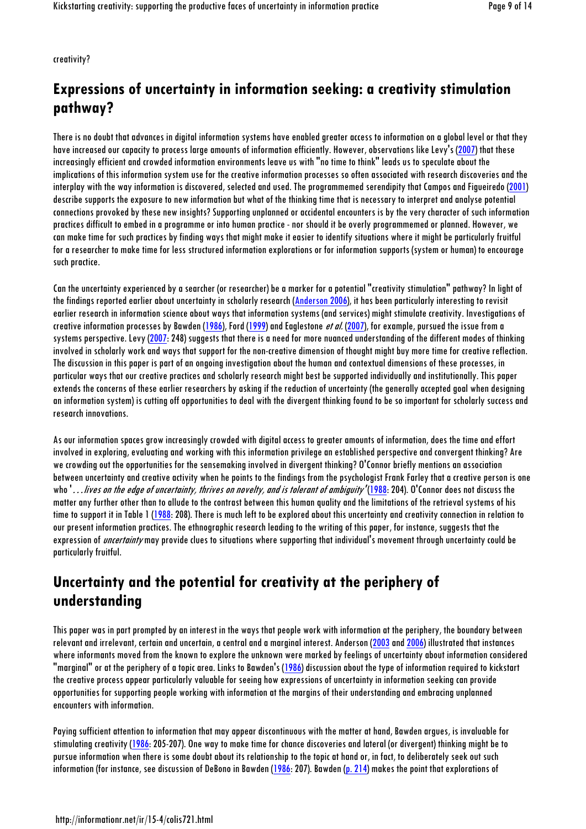creativity?

## **Expressions of uncertainty in information seeking: a creativity stimulation pathway?**

There is no doubt that advances in digital information systems have enabled greater access to information on a global level or that they have increased our capacity to process large amounts of information efficiently. However, observations like Levy's (2007) that these increasingly efficient and crowded information environments leave us with "no time to think" leads us to speculate about the implications of this information system use for the creative information processes so often associated with research discoveries and the interplay with the way information is discovered, selected and used. The programmemed serendipity that Campos and Figueiredo (2001) describe supports the exposure to new information but what of the thinking time that is necessary to interpret and analyse potential connections provoked by these new insights? Supporting unplanned or accidental encounters is by the very character of such information practices difficult to embed in a programme or into human practice - nor should it be overly programmemed or planned. However, we can make time for such practices by finding ways that might make it easier to identify situations where it might be particularly fruitful for a researcher to make time for less structured information explorations or for information supports (system or human) to encourage such practice.

Can the uncertainty experienced by a searcher (or researcher) be a marker for a potential "creativity stimulation" pathway? In light of the findings reported earlier about uncertainty in scholarly research (Anderson 2006), it has been particularly interesting to revisit earlier research in information science about ways that information systems (and services) might stimulate creativity. Investigations of creative information processes by Bawden (1986), Ford (1999) and Eaglestone *et al.* (2007), for example, pursued the issue from a systems perspective. Levy (2007: 248) suggests that there is a need for more nuanced understanding of the different modes of thinking involved in scholarly work and ways that support for the non-creative dimension of thought might buy more time for creative reflection. The discussion in this paper is part of an ongoing investigation about the human and contextual dimensions of these processes, in particular ways that our creative practices and scholarly research might best be supported individually and institutionally. This paper extends the concerns of these earlier researchers by asking if the reduction of uncertainty (the generally accepted goal when designing an information system) is cutting off opportunities to deal with the divergent thinking found to be so important for scholarly success and research innovations.

As our information spaces grow increasingly crowded with digital access to greater amounts of information, does the time and effort involved in exploring, evaluating and working with this information privilege an established perspective and convergent thinking? Are we crowding out the opportunities for the sensemaking involved in divergent thinking? O'Connor briefly mentions an association between uncertainty and creative activity when he points to the findings from the psychologist Frank Farley that a creative person is one who '...lives on the edge of uncertainty, thrives on novelty, and is tolerant of ambiguity '(1988: 204). O'Connor does not discuss the matter any further other than to allude to the contrast between this human quality and the limitations of the retrieval systems of his time to support it in Table 1 (1988: 208). There is much left to be explored about this uncertainty and creativity connection in relation to our present information practices. The ethnographic research leading to the writing of this paper, for instance, suggests that the expression of *uncertainty* may provide clues to situations where supporting that individual's movement through uncertainty could be particularly fruitful.

### **Uncertainty and the potential for creativity at the periphery of understanding**

This paper was in part prompted by an interest in the ways that people work with information at the periphery, the boundary between relevant and irrelevant, certain and uncertain, a central and a marginal interest. Anderson (2003 and 2006) illustrated that instances where informants moved from the known to explore the unknown were marked by feelings of uncertainty about information considered "marginal" or at the periphery of a topic area. Links to Bawden's (1986) discussion about the type of information required to kickstart the creative process appear particularly valuable for seeing how expressions of uncertainty in information seeking can provide opportunities for supporting people working with information at the margins of their understanding and embracing unplanned encounters with information.

Paying sufficient attention to information that may appear discontinuous with the matter at hand, Bawden argues, is invaluable for stimulating creativity (1986: 205-207). One way to make time for chance discoveries and lateral (or divergent) thinking might be to pursue information when there is some doubt about its relationship to the topic at hand or, in fact, to deliberately seek out such information (for instance, see discussion of DeBono in Bawden (1986: 207). Bawden (p. 214) makes the point that explorations of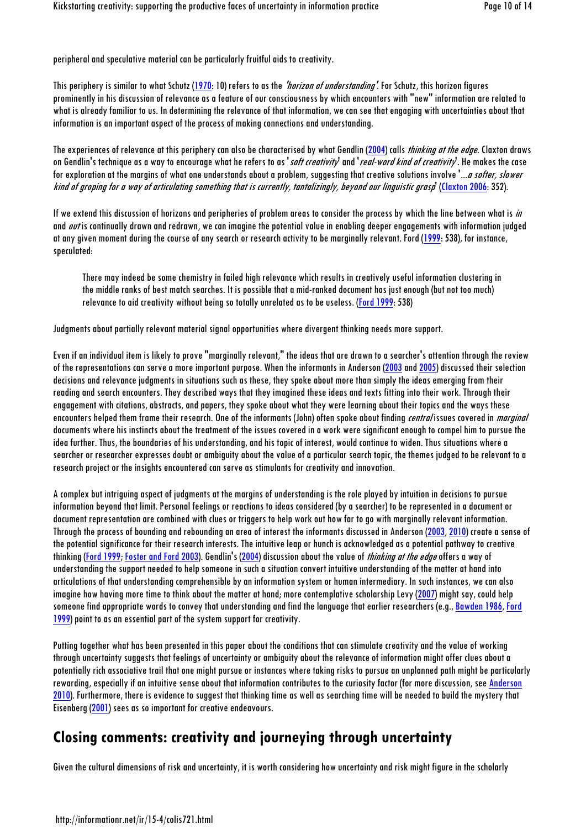peripheral and speculative material can be particularly fruitful aids to creativity.

This periphery is similar to what Schutz (1970: 10) refers to as the *'horizon of understanding'*. For Schutz, this horizon fiaures prominently in his discussion of relevance as a feature of our consciousness by which encounters with "new" information are related to what is already familiar to us. In determining the relevance of that information, we can see that engaging with uncertainties about that information is an important aspect of the process of making connections and understanding.

The experiences of relevance at this periphery can also be characterised by what Gendlin (2004) calls *thinking at the edge*. Claxton draws on Gendlin's technique as a way to encourage what he refers to as '*soft creativity*' and '*real-word kind of creativity*'. He makes the case for exploration at the margins of what one understands about a problem, suggesting that creative solutions involve '...a softer, slower kind of groping for a way of articulating something that is currently, tantalizingly, beyond our linguistic grasp' (Claxton 2006: 352).

If we extend this discussion of horizons and peripheries of problem areas to consider the process by which the line between what is in and *out* is continually drawn and redrawn, we can imagine the potential value in enabling deeper engagements with information judged at any given moment during the course of any search or research activity to be marginally relevant. Ford (1999: 538), for instance, speculated:

There may indeed be some chemistry in failed high relevance which results in creatively useful information clustering in the middle ranks of best match searches. It is possible that a mid-ranked document has just enough (but not too much) relevance to aid creativity without being so totally unrelated as to be useless. (Ford 1999: 538)

Judgments about partially relevant material signal opportunities where divergent thinking needs more support.

Even if an individual item is likely to prove "marginally relevant," the ideas that are drawn to a searcher's attention through the review of the representations can serve a more important purpose. When the informants in Anderson (2003 and 2005) discussed their selection decisions and relevance judgments in situations such as these, they spoke about more than simply the ideas emerging from their reading and search encounters. They described ways that they imagined these ideas and texts fitting into their work. Through their engagement with citations, abstracts, and papers, they spoke about what they were learning about their topics and the ways these encounters helped them frame their research. One of the informants (John) often spoke about finding *central* issues covered in *marginal* documents where his instincts about the treatment of the issues covered in a work were significant enough to compel him to pursue the idea further. Thus, the boundaries of his understanding, and his topic of interest, would continue to widen. Thus situations where a searcher or researcher expresses doubt or ambiguity about the value of a particular search topic, the themes judged to be relevant to a research project or the insights encountered can serve as stimulants for creativity and innovation.

A complex but intriguing aspect of judgments at the margins of understanding is the role played by intuition in decisions to pursue information beyond that limit. Personal feelings or reactions to ideas considered (by a searcher) to be represented in a document or document representation are combined with clues or triggers to help work out how far to go with marginally relevant information. Through the process of bounding and rebounding an area of interest the informants discussed in Anderson (2003, 2010) create a sense of the potential significance for their research interests. The intuitive leap or hunch is acknowledged as a potential pathway to creative thinking (Ford 1999; Foster and Ford 2003). Gendlin's (2004) discussion about the value of *thinking at the edge* offers a way of understanding the support needed to help someone in such a situation convert intuitive understanding of the matter at hand into articulations of that understanding comprehensible by an information system or human intermediary. In such instances, we can also imagine how having more time to think about the matter at hand; more contemplative scholarship Levy (2007) might say, could help someone find appropriate words to convey that understanding and find the language that earlier researchers (e.g., Bawden 1986, Ford 1999) point to as an essential part of the system support for creativity.

Putting together what has been presented in this paper about the conditions that can stimulate creativity and the value of working through uncertainty suggests that feelings of uncertainty or ambiguity about the relevance of information might offer clues about a potentially rich associative trail that one might pursue or instances where taking risks to pursue an unplanned path might be particularly rewarding, especially if an intuitive sense about that information contributes to the curiosity factor (for more discussion, see Anderson 2010). Furthermore, there is evidence to suggest that thinking time as well as searching time will be needed to build the mystery that Eisenberg (2001) sees as so important for creative endeavours.

### **Closing comments: creativity and journeying through uncertainty**

Given the cultural dimensions of risk and uncertainty, it is worth considering how uncertainty and risk might figure in the scholarly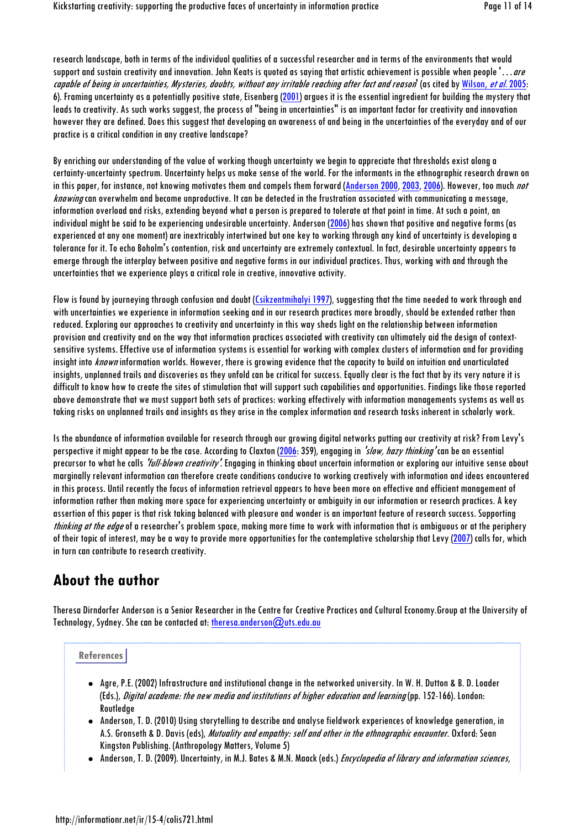research landscape, both in terms of the individual qualities of a successful researcher and in terms of the environments that would support and sustain creativity and innovation. John Keats is quoted as saying that artistic achievement is possible when people '…are capable of being in uncertainties, Mysteries, doubts, without any irritable reaching after fact and reason (as cited by Wilson, et al. 2005: 6). Framing uncertainty as a potentially positive state, Eisenberg (2001) argues it is the essential ingredient for building the mystery that leads to creativity. As such works suggest, the process of "being in uncertainties" is an important factor for creativity and innovation however they are defined. Does this suggest that developing an awareness of and being in the uncertainties of the everyday and of our practice is a critical condition in any creative landscape?

By enriching our understanding of the value of working though uncertainty we begin to appreciate that thresholds exist along a certainty-uncertainty spectrum. Uncertainty helps us make sense of the world. For the informants in the ethnographic research drawn on in this paper, for instance, not knowing motivates them and compels them forward (Anderson 2000, 2003, 2006). However, too much not knowing can overwhelm and become unproductive. It can be detected in the frustration associated with communicating a message, information overload and risks, extending beyond what a person is prepared to tolerate at that point in time. At such a point, an individual might be said to be experiencing undesirable uncertainty. Anderson (2006) has shown that positive and negative forms (as experienced at any one moment) are inextricably intertwined but one key to working through any kind of uncertainty is developing a tolerance for it. To echo Boholm's contention, risk and uncertainty are extremely contextual. In fact, desirable uncertainty appears to emerge through the interplay between positive and negative forms in our individual practices. Thus, working with and through the uncertainties that we experience plays a critical role in creative, innovative activity.

Flow is found by journeying through confusion and doubt (Csikzentmihalyi 1997), suggesting that the time needed to work through and with uncertainties we experience in information seeking and in our research practices more broadly, should be extended rather than reduced. Exploring our approaches to creativity and uncertainty in this way sheds light on the relationship between information provision and creativity and on the way that information practices associated with creativity can ultimately aid the design of contextsensitive systems. Effective use of information systems is essential for working with complex clusters of information and for providing insight into *known* information worlds. However, there is growing evidence that the capacity to build on intuition and unarticulated insights, unplanned trails and discoveries as they unfold can be critical for success. Equally clear is the fact that by its very nature it is difficult to know how to create the sites of stimulation that will support such capabilities and opportunities. Findings like those reported above demonstrate that we must support both sets of practices: working effectively with information managements systems as well as taking risks on unplanned trails and insights as they arise in the complex information and research tasks inherent in scholarly work.

Is the abundance of information available for research through our growing digital networks putting our creativity at risk? From Levy's perspective it might appear to be the case. According to Claxton (2006: 359), engaging in 'slow, hazy thinking' can be an essential precursor to what he calls 'full-blown creativity'. Engaging in thinking about uncertain information or exploring our intuitive sense about marginally relevant information can therefore create conditions conducive to working creatively with information and ideas encountered in this process. Until recently the focus of information retrieval appears to have been more on effective and efficient management of information rather than making more space for experiencing uncertainty or ambiguity in our information or research practices. A key assertion of this paper is that risk taking balanced with pleasure and wonder is an important feature of research success. Supporting thinking at the edge of a researcher's problem space, making more time to work with information that is ambiguous or at the periphery of their topic of interest, may be a way to provide more opportunities for the contemplative scholarship that Levy (2007) calls for, which in turn can contribute to research creativity.

#### **About the author**

Theresa Dirndorfer Anderson is a Senior Researcher in the Centre for Creative Practices and Cultural Economy.Group at the University of Technology, Sydney. She can be contacted at: theresa.anderson@uts.edu.au

#### **References**

- Agre, P.E. (2002) Infrastructure and institutional change in the networked university. In W. H. Dutton & B. D. Loader (Eds.), Digital academe: the new media and institutions of higher education and learning (pp. 152-166). London: **Routledge**
- Anderson, T. D. (2010) Using storytelling to describe and analyse fieldwork experiences of knowledge generation, in A.S. Gronseth & D. Davis (eds), Mutuality and empathy: self and other in the ethnographic encounter. Oxford: Sean Kingston Publishing. (Anthropology Matters, Volume 5)
- Anderson, T. D. (2009). Uncertainty, in M.J. Bates & M.N. Maack (eds.) *Encyclopedia of library and information sciences*,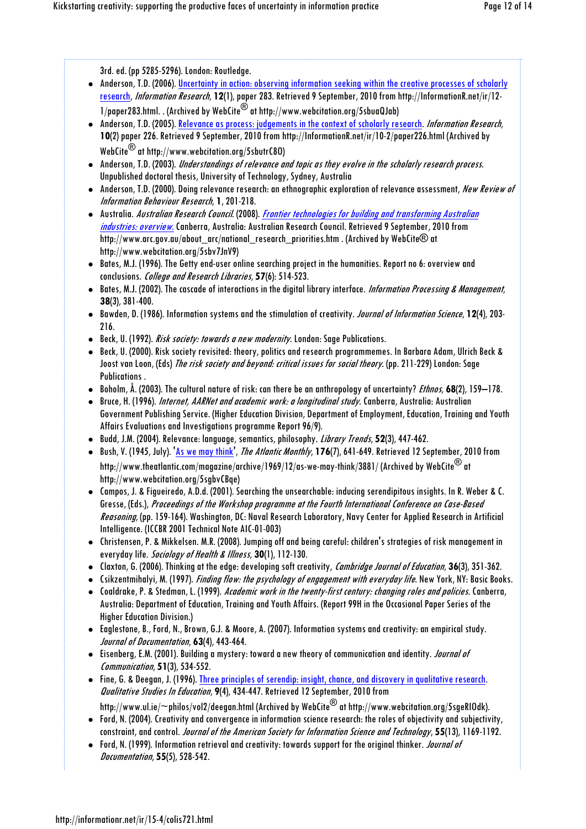3rd. ed. (pp 5285-5296). London: Routledge.

- Anderson, T.D. (2006). Uncertainty in action: observing information seeking within the creative processes of scholarly research, Information Research, **12**(1), paper 283. Retrieved 9 September, 2010 from http://InformationR.net/ir/12-  $1/p$ aper283.html. . (Archived by WebCite<sup>®</sup> at http://www.webcitation.org/5sbuaQJab)
- Anderson, T.D. (2005). Relevance as process: judgements in the context of scholarly research. Information Research, **10**(2) paper 226. Retrieved 9 September, 2010 from http://InformationR.net/ir/10-2/paper226.html (Archived by WebCite® at http://www.webcitation.org/5sbutrC8O)
- Anderson, T.D. (2003). Understandings of relevance and topic as they evolve in the scholarly research process. Unpublished doctoral thesis, University of Technology, Sydney, Australia
- Anderson, T.D. (2000). Doing relevance research: an ethnographic exploration of relevance assessment, New Review of Information Behaviour Research, **1**, 201-218.
- Australia. Australian Research Council. (2008). Frontier technologies for building and transforming Australian industries: overview. Canberra, Australia: Australian Research Council. Retrieved 9 September, 2010 from http://www.arc.gov.au/about\_arc/national\_research\_priorities.htm . (Archived by WebCite® at http://www.webcitation.org/5sbv7JnV9)
- Bates, M.J. (1996). The Getty end-user online searching project in the humanities. Report no 6: overview and conclusions. College and Research Libraries, **57**(6): 514-523.
- Bates, M.J. (2002). The cascade of interactions in the digital library interface. *Information Processing & Management*, **38**(3), 381-400.
- Bawden, D. (1986). Information systems and the stimulation of creativity. Journal of Information Science, **12**(4), 203- 216.
- Beck, U. (1992). Risk society: towards a new modernity. London: Sage Publications.
- Beck, U. (2000). Risk society revisited: theory, politics and research programmemes. In Barbara Adam, Ulrich Beck & Joost van Loon, (Eds) The risk society and beyond: critical issues for social theory. (pp. 211-229) London: Sage Publications .
- Boholm, Å. (2003). The cultural nature of risk: can there be an anthropology of uncertainty? Ethnos, **68**(2), 159–178.
- Bruce, H. (1996). Internet, AARNet and academic work: a longitudinal study. Canberra, Australia: Australian Government Publishing Service. (Higher Education Division, Department of Employment, Education, Training and Youth Affairs Evaluations and Investigations programme Report 96/9).
- Budd, J.M. (2004). Relevance: language, semantics, philosophy. Library Trends, **52**(3), 447-462.
- Bush, V. (1945, July). 'As we may think', The Atlantic Monthly, **176**(7), 641-649. Retrieved 12 September, 2010 from http://www.theatlantic.com/magazine/archive/1969/12/as-we-may-think/3881/ (Archived by WebCite® at http://www.webcitation.org/5sgbvCBqe)
- Campos, J. & Figueiredo, A.D.d. (2001). Searching the unsearchable: inducing serendipitous insights. In R. Weber & C. Gresse, (Eds.), Proceedings of the Workshop programme at the Fourth International Conference on Case-Based Reasoning, (pp. 159-164). Washington, DC: Naval Research Laboratory, Navy Center for Applied Research in Artificial Intelligence. (ICCBR 2001 Technical Note AIC-01-003)
- Christensen, P. & Mikkelsen. M.R. (2008). Jumping off and being careful: children's strategies of risk management in everyday life. Sociology of Health & Illness, **30**(1), 112-130.
- Claxton, G. (2006). Thinking at the edge: developing soft creativity, Cambridge Journal of Education, **36**(3), 351-362.
- Csikzentmihalyi, M. (1997). *Finding flow: the psychology of engagement with everyday life*. New York, NY: Basic Books.
- Coaldrake, P. & Stedman, L. (1999). Academic work in the twenty-first century: changing roles and policies. Canberra, Australia: Department of Education, Training and Youth Affairs. (Report 99H in the Occasional Paper Series of the Higher Education Division.)
- Eaglestone, B., Ford, N., Brown, G.J. & Moore, A. (2007). Information systems and creativity: an empirical study. Journal of Documentation, **63**(4), 443-464.
- Eisenberg, E.M. (2001). Building a mystery: toward a new theory of communication and identity. *Journal of* Communication, **51**(3), 534-552.
- Fine, G. & Deegan, J. (1996). Three principles of serendip: insight, chance, and discovery in qualitative research. Qualitative Studies In Education, **9**(4), 434-447. Retrieved 12 September, 2010 from http://www.ul.ie/~philos/vol2/deegan.html (Archived by WebCite® at http://www.webcitation.org/5sgeRIOdk).
- Ford, N. (2004). Creativity and convergence in information science research: the roles of objectivity and subjectivity, constraint, and control. Journal of the American Society for Information Science and Technology, **55**(13), 1169-1192.
- Ford, N. (1999). Information retrieval and creativity: towards support for the original thinker. *Journal of* Documentation, **55**(5), 528-542.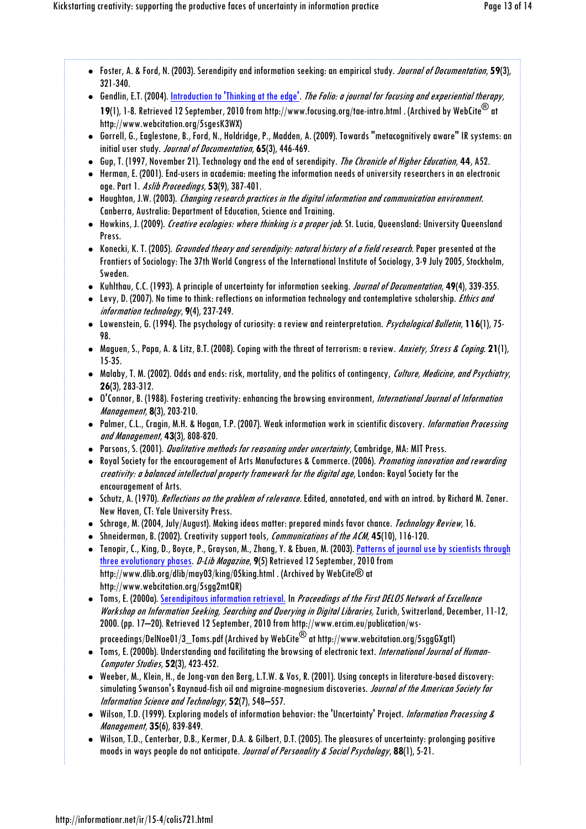- Foster, A. & Ford, N. (2003). Serendipity and information seeking: an empirical study. Journal of Documentation, **59**(3), 321-340.
- Gendlin, E.T. (2004). Introduction to 'Thinking at the edge'. The Folio: a journal for focusing and experiential therapy, **19**(1), 1-8. Retrieved 12 September, 2010 from http://www.focusing.org/tae-intro.html . (Archived by WebCite® at http://www.webcitation.org/5sgesK3WX)
- Gorrell, G., Eaglestone, B., Ford, N., Holdridge, P., Madden, A. (2009). Towards "metacognitively aware" IR systems: an initial user study. Journal of Documentation, **65**(3), 446-469.
- Gup, T. (1997, November 21). Technology and the end of serendipity. The Chronicle of Higher Education, **44**, A52.
- Herman, E. (2001). End-users in academia: meeting the information needs of university researchers in an electronic age. Part 1. Aslib Proceedings, **53**(9), 387-401.
- Houghton, J.W. (2003). Changing research practices in the digital information and communication environment. Canberra, Australia: Department of Education, Science and Training.
- Howkins, J. (2009). Creative ecologies: where thinking is a proper job. St. Lucia, Queensland: University Queensland Press.
- Konecki, K. T. (2005). *Grounded theory and serendipity: natural history of a field research.* Paper presented at the Frontiers of Sociology: The 37th World Congress of the International Institute of Sociology, 3-9 July 2005, Stockholm, Sweden.
- Kuhlthau, C.C. (1993). A principle of uncertainty for information seeking. Journal of Documentation, **49**(4), 339-355.
- Levy, D. (2007). No time to think: reflections on information technology and contemplative scholarship. *Ethics and* information technology, **9**(4), 237-249.
- Lowenstein, G. (1994). The psychology of curiosity: a review and reinterpretation. Psychological Bulletin, **116**(1), 75- 98.
- Maguen, S., Papa, A. & Litz, B.T. (2008). Coping with the threat of terrorism: a review. Anxiety, Stress & Coping. **21**(1), 15-35.
- Malaby, T. M. (2002). Odds and ends: risk, mortality, and the politics of contingency, Culture, Medicine, and Psychiatry, **26**(3), 283-312.
- O'Connor, B. (1988). Fostering creativity: enhancing the browsing environment, International Journal of Information Management, **8**(3), 203-210.
- Palmer, C.L., Cragin, M.H. & Hogan, T.P. (2007). Weak information work in scientific discovery. Information Processing and Management, **43**(3), 808-820.
- Parsons, S. (2001). *Qualitative methods for reasoning under uncertainty*, Cambridge, MA: MIT Press.
- Royal Society for the encouragement of Arts Manufactures & Commerce. (2006). Promoting innovation and rewarding creativity: a balanced intellectual property framework for the digital age, London: Royal Society for the encouragement of Arts.
- Schutz, A. (1970). *Reflections on the problem of relevance*. Edited, annotated, and with an introd. by Richard M. Zaner. New Haven, CT: Yale University Press.
- Schrage, M. (2004, July/August). Making ideas matter: prepared minds favor chance. Technology Review, 16.
- Shneiderman, B. (2002). Creativity support tools, Communications of the ACM, **45**(10), 116-120.
- Tenopir, C., King, D., Boyce, P., Grayson, M., Zhang, Y. & Ebuen, M. (2003). Patterns of journal use by scientists through three evolutionary phases. D-Lib Magazine, **9**(5) Retrieved 12 September, 2010 from http://www.dlib.org/dlib/may03/king/05king.html . (Archived by WebCite® at http://www.webcitation.org/5sgg2mtQR)
- Toms, E. (2000a). Serendipitous information retrieval. In Proceedings of the First DELOS Network of Excellence Workshop on Information Seeking, Searching and Querying in Digital Libraries, Zurich, Switzerland, December, 11-12, 2000. (pp. 17–20). Retrieved 12 September, 2010 from http://www.ercim.eu/publication/ws-
- proceedings/DelNoe01/3\_Toms.pdf (Archived by WebCite $^\circledR$  at http://www.webcitation.org/5sggGXgtI)
- Toms, E. (2000b). Understanding and facilitating the browsing of electronic text. International Journal of Human-Computer Studies, **52**(3), 423-452.
- Weeber, M., Klein, H., de Jong-van den Berg, L.T.W. & Vos, R. (2001). Using concepts in literature-based discovery: simulating Swanson's Raynaud-fish oil and migraine-magnesium discoveries. Journal of the American Society for Information Science and Technology, **52**(7), 548–557.
- Wilson, T.D. (1999). Exploring models of information behavior: the 'Uncertainty' Project. Information Processing & Management, **35**(6), 839-849.
- Wilson, T.D., Centerbar, D.B., Kermer, D.A. & Gilbert, D.T. (2005). The pleasures of uncertainty: prolonging positive moods in ways people do not anticipate. Journal of Personality & Social Psychology, **88**(1), 5-21.